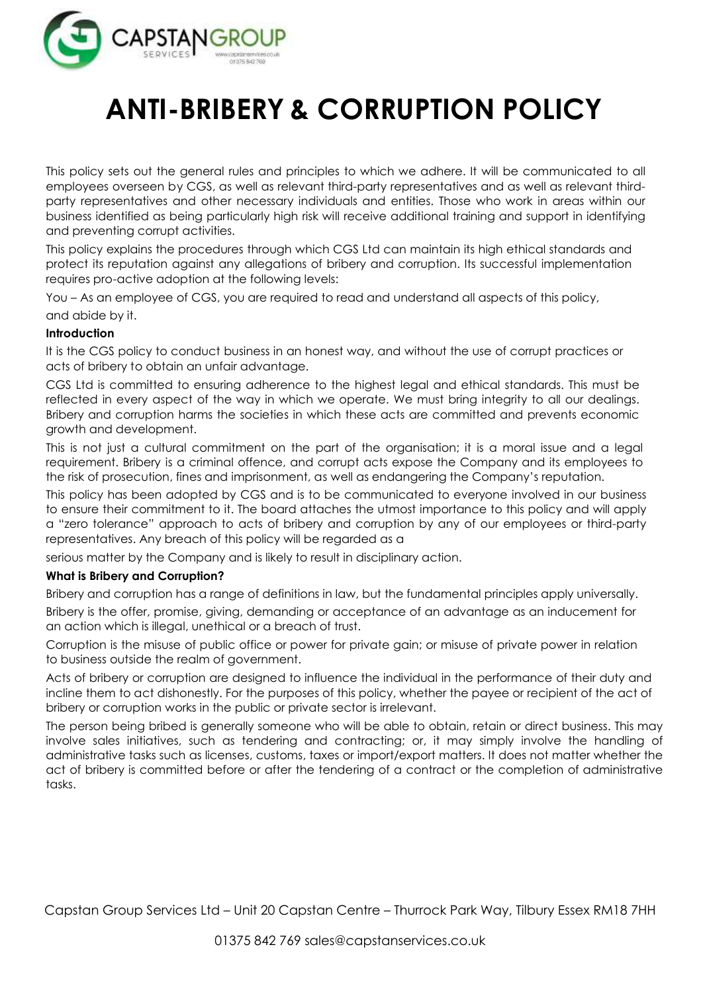

# **ANTI-BRIBERY & CORRUPTION POLICY**

This policy sets out the general rules and principles to which we adhere. It will be communicated to all employees overseen by CGS, as well as relevant third-party representatives and as well as relevant thirdparty representatives and other necessary individuals and entities. Those who work in areas within our business identified as being particularly high risk will receive additional training and support in identifying and preventing corrupt activities.

This policy explains the procedures through which CGS Ltd can maintain its high ethical standards and protect its reputation against any allegations of bribery and corruption. Its successful implementation requires pro-active adoption at the following levels:

You – As an employee of CGS, you are required to read and understand all aspects of this policy, and abide by it.

## **Introduction**

It is the CGS policy to conduct business in an honest way, and without the use of corrupt practices or acts of bribery to obtain an unfair advantage.

CGS Ltd is committed to ensuring adherence to the highest legal and ethical standards. This must be reflected in every aspect of the way in which we operate. We must bring integrity to all our dealings. Bribery and corruption harms the societies in which these acts are committed and prevents economic growth and development.

This is not just a cultural commitment on the part of the organisation; it is a moral issue and a legal requirement. Bribery is a criminal offence, and corrupt acts expose the Company and its employees to the risk of prosecution, fines and imprisonment, as well as endangering the Company's reputation.

This policy has been adopted by CGS and is to be communicated to everyone involved in our business to ensure their commitment to it. The board attaches the utmost importance to this policy and will apply a "zero tolerance" approach to acts of bribery and corruption by any of our employees or third-party representatives. Any breach of this policy will be regarded as a

serious matter by the Company and is likely to result in disciplinary action.

#### **What is Bribery and Corruption?**

Bribery and corruption has a range of definitions in law, but the fundamental principles apply universally. Bribery is the offer, promise, giving, demanding or acceptance of an advantage as an inducement for an action which is illegal, unethical or a breach of trust.

Corruption is the misuse of public office or power for private gain; or misuse of private power in relation to business outside the realm of government.

Acts of bribery or corruption are designed to influence the individual in the performance of their duty and incline them to act dishonestly. For the purposes of this policy, whether the payee or recipient of the act of bribery or corruption works in the public or private sector is irrelevant.

The person being bribed is generally someone who will be able to obtain, retain or direct business. This may involve sales initiatives, such as tendering and contracting; or, it may simply involve the handling of administrative tasks such as licenses, customs, taxes or import/export matters. It does not matter whether the act of bribery is committed before or after the tendering of a contract or the completion of administrative tasks.

Capstan Group Services Ltd – Unit 20 Capstan Centre – Thurrock Park Way, Tilbury Essex RM18 7HH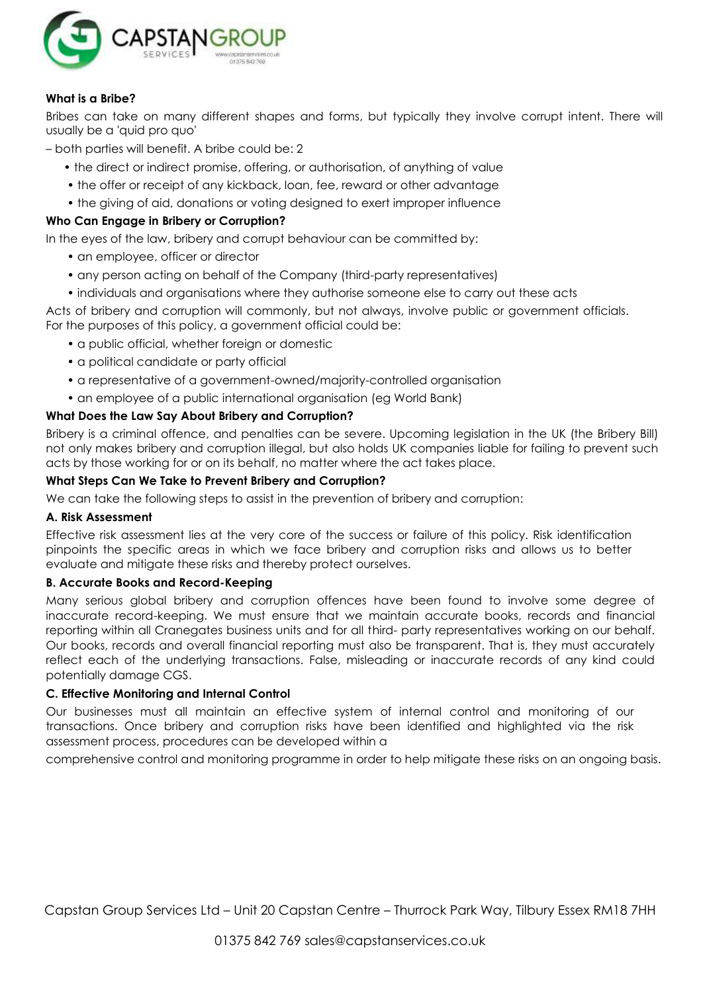

# **What is a Bribe?**

Bribes can take on many different shapes and forms, but typically they involve corrupt intent. There will usually be a 'quid pro quo'

– both parties will benefit. A bribe could be: 2

- the direct or indirect promise, offering, or authorisation, of anything of value
- the offer or receipt of any kickback, loan, fee, reward or other advantage
- the giving of aid, donations or voting designed to exert improper influence

## **Who Can Engage in Bribery or Corruption?**

In the eyes of the law, bribery and corrupt behaviour can be committed by:

- an employee, officer or director
- any person acting on behalf of the Company (third-party representatives)
- individuals and organisations where they authorise someone else to carry out these acts

Acts of bribery and corruption will commonly, but not always, involve public or government officials. For the purposes of this policy, a government official could be:

- a public official, whether foreign or domestic
- a political candidate or party official
- a representative of a government-owned/majority-controlled organisation
- an employee of a public international organisation (eg World Bank)

## **What Does the Law Say About Bribery and Corruption?**

Bribery is a criminal offence, and penalties can be severe. Upcoming legislation in the UK (the Bribery Bill) not only makes bribery and corruption illegal, but also holds UK companies liable for failing to prevent such acts by those working for or on its behalf, no matter where the act takes place.

## **What Steps Can We Take to Prevent Bribery and Corruption?**

We can take the following steps to assist in the prevention of bribery and corruption:

#### **A. Risk Assessment**

Effective risk assessment lies at the very core of the success or failure of this policy. Risk identification pinpoints the specific areas in which we face bribery and corruption risks and allows us to better evaluate and mitigate these risks and thereby protect ourselves.

#### **B. Accurate Books and Record-Keeping**

Many serious global bribery and corruption offences have been found to involve some degree of inaccurate record-keeping. We must ensure that we maintain accurate books, records and financial reporting within all Cranegates business units and for all third- party representatives working on our behalf. Our books, records and overall financial reporting must also be transparent. That is, they must accurately reflect each of the underlying transactions. False, misleading or inaccurate records of any kind could potentially damage CGS.

#### **C. Effective Monitoring and Internal Control**

Our businesses must all maintain an effective system of internal control and monitoring of our transactions. Once bribery and corruption risks have been identified and highlighted via the risk assessment process, procedures can be developed within a

comprehensive control and monitoring programme in order to help mitigate these risks on an ongoing basis.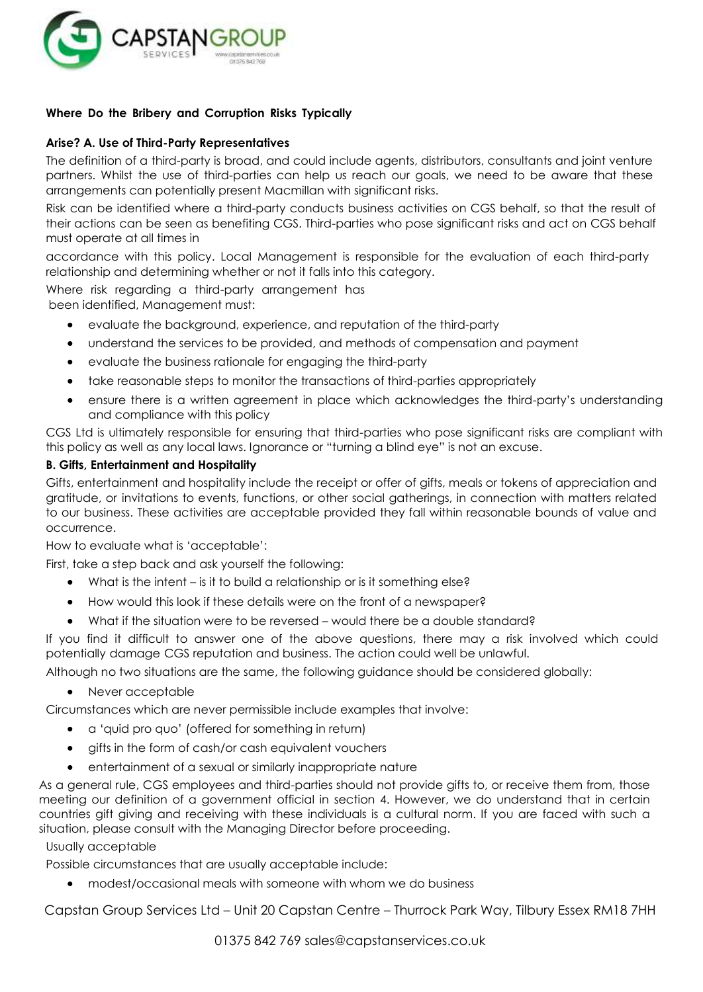

# **Where Do the Bribery and Corruption Risks Typically**

#### **Arise? A. Use of Third-Party Representatives**

The definition of a third-party is broad, and could include agents, distributors, consultants and joint venture partners. Whilst the use of third-parties can help us reach our goals, we need to be aware that these arrangements can potentially present Macmillan with significant risks.

Risk can be identified where a third-party conducts business activities on CGS behalf, so that the result of their actions can be seen as benefiting CGS. Third-parties who pose significant risks and act on CGS behalf must operate at all times in

accordance with this policy. Local Management is responsible for the evaluation of each third-party relationship and determining whether or not it falls into this category.

Where risk regarding a third-party arrangement has been identified, Management must:

- evaluate the background, experience, and reputation of the third-party
- understand the services to be provided, and methods of compensation and payment
- evaluate the business rationale for engaging the third-party
- take reasonable steps to monitor the transactions of third-parties appropriately
- ensure there is a written agreement in place which acknowledges the third-party's understanding and compliance with this policy

CGS Ltd is ultimately responsible for ensuring that third-parties who pose significant risks are compliant with this policy as well as any local laws. Ignorance or "turning a blind eye" is not an excuse.

#### **B. Gifts, Entertainment and Hospitality**

Gifts, entertainment and hospitality include the receipt or offer of gifts, meals or tokens of appreciation and gratitude, or invitations to events, functions, or other social gatherings, in connection with matters related to our business. These activities are acceptable provided they fall within reasonable bounds of value and occurrence.

How to evaluate what is 'acceptable':

First, take a step back and ask yourself the following:

- What is the intent is it to build a relationship or is it something else?
- How would this look if these details were on the front of a newspaper?
- What if the situation were to be reversed would there be a double standard?

If you find it difficult to answer one of the above questions, there may a risk involved which could potentially damage CGS reputation and business. The action could well be unlawful.

Although no two situations are the same, the following guidance should be considered globally:

• Never acceptable

Circumstances which are never permissible include examples that involve:

- a 'quid pro quo' (offered for something in return)
- gifts in the form of cash/or cash equivalent vouchers
- entertainment of a sexual or similarly inappropriate nature

As a general rule, CGS employees and third-parties should not provide gifts to, or receive them from, those meeting our definition of a government official in section 4. However, we do understand that in certain countries gift giving and receiving with these individuals is a cultural norm. If you are faced with such a situation, please consult with the Managing Director before proceeding.

Usually acceptable

Possible circumstances that are usually acceptable include:

modest/occasional meals with someone with whom we do business

Capstan Group Services Ltd – Unit 20 Capstan Centre – Thurrock Park Way, Tilbury Essex RM18 7HH